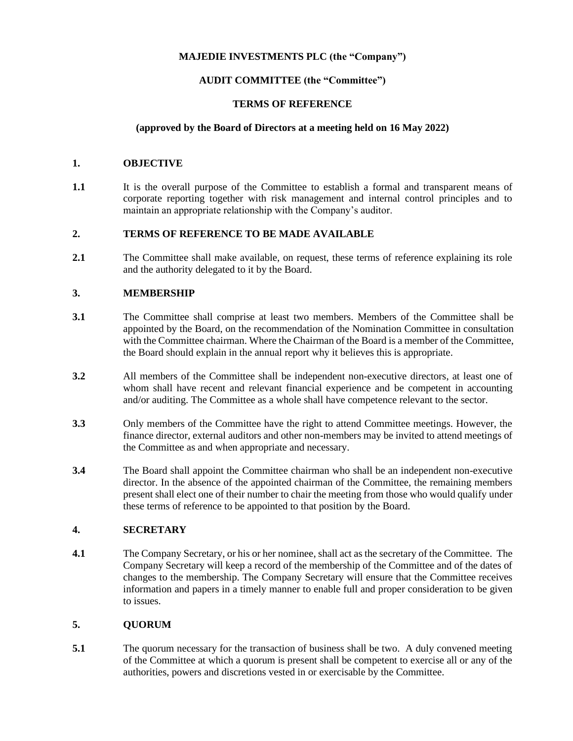# **MAJEDIE INVESTMENTS PLC (the "Company")**

# **AUDIT COMMITTEE (the "Committee")**

## **TERMS OF REFERENCE**

## **(approved by the Board of Directors at a meeting held on 16 May 2022)**

#### **1. OBJECTIVE**

**1.1** It is the overall purpose of the Committee to establish a formal and transparent means of corporate reporting together with risk management and internal control principles and to maintain an appropriate relationship with the Company's auditor.

## **2. TERMS OF REFERENCE TO BE MADE AVAILABLE**

2.1 The Committee shall make available, on request, these terms of reference explaining its role and the authority delegated to it by the Board.

# **3. MEMBERSHIP**

- **3.1** The Committee shall comprise at least two members. Members of the Committee shall be appointed by the Board, on the recommendation of the Nomination Committee in consultation with the Committee chairman. Where the Chairman of the Board is a member of the Committee, the Board should explain in the annual report why it believes this is appropriate.
- **3.2** All members of the Committee shall be independent non-executive directors, at least one of whom shall have recent and relevant financial experience and be competent in accounting and/or auditing. The Committee as a whole shall have competence relevant to the sector.
- **3.3** Only members of the Committee have the right to attend Committee meetings. However, the finance director, external auditors and other non-members may be invited to attend meetings of the Committee as and when appropriate and necessary.
- **3.4** The Board shall appoint the Committee chairman who shall be an independent non-executive director. In the absence of the appointed chairman of the Committee, the remaining members present shall elect one of their number to chair the meeting from those who would qualify under these terms of reference to be appointed to that position by the Board.

# **4. SECRETARY**

**4.1** The Company Secretary, or his or her nominee, shall act as the secretary of the Committee. The Company Secretary will keep a record of the membership of the Committee and of the dates of changes to the membership. The Company Secretary will ensure that the Committee receives information and papers in a timely manner to enable full and proper consideration to be given to issues.

# **5. QUORUM**

**5.1** The quorum necessary for the transaction of business shall be two. A duly convened meeting of the Committee at which a quorum is present shall be competent to exercise all or any of the authorities, powers and discretions vested in or exercisable by the Committee.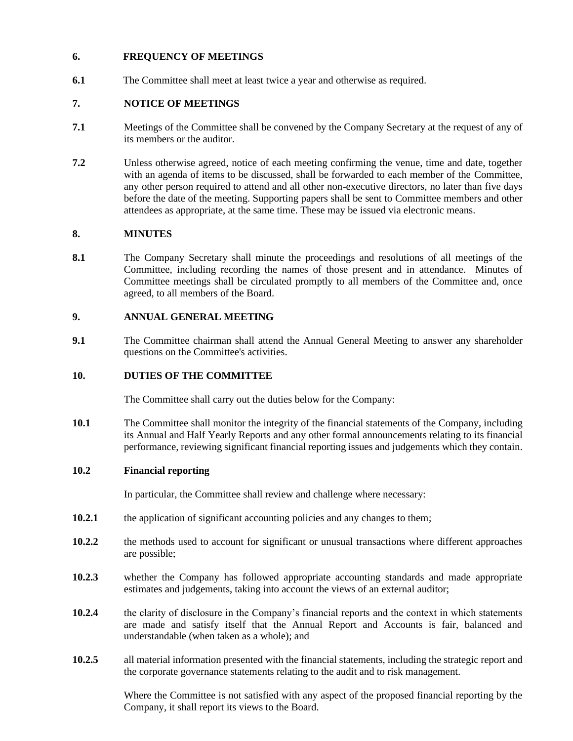## **6. FREQUENCY OF MEETINGS**

**6.1** The Committee shall meet at least twice a year and otherwise as required.

# **7. NOTICE OF MEETINGS**

- **7.1** Meetings of the Committee shall be convened by the Company Secretary at the request of any of its members or the auditor.
- **7.2** Unless otherwise agreed, notice of each meeting confirming the venue, time and date, together with an agenda of items to be discussed, shall be forwarded to each member of the Committee, any other person required to attend and all other non-executive directors, no later than five days before the date of the meeting. Supporting papers shall be sent to Committee members and other attendees as appropriate, at the same time. These may be issued via electronic means.

#### **8. MINUTES**

**8.1** The Company Secretary shall minute the proceedings and resolutions of all meetings of the Committee, including recording the names of those present and in attendance. Minutes of Committee meetings shall be circulated promptly to all members of the Committee and, once agreed, to all members of the Board.

## **9. ANNUAL GENERAL MEETING**

**9.1** The Committee chairman shall attend the Annual General Meeting to answer any shareholder questions on the Committee's activities.

#### **10. DUTIES OF THE COMMITTEE**

The Committee shall carry out the duties below for the Company:

**10.1** The Committee shall monitor the integrity of the financial statements of the Company, including its Annual and Half Yearly Reports and any other formal announcements relating to its financial performance, reviewing significant financial reporting issues and judgements which they contain.

#### **10.2 Financial reporting**

In particular, the Committee shall review and challenge where necessary:

- **10.2.1** the application of significant accounting policies and any changes to them;
- **10.2.2** the methods used to account for significant or unusual transactions where different approaches are possible;
- **10.2.3** whether the Company has followed appropriate accounting standards and made appropriate estimates and judgements, taking into account the views of an external auditor;
- **10.2.4** the clarity of disclosure in the Company's financial reports and the context in which statements are made and satisfy itself that the Annual Report and Accounts is fair, balanced and understandable (when taken as a whole); and
- **10.2.5** all material information presented with the financial statements, including the strategic report and the corporate governance statements relating to the audit and to risk management.

Where the Committee is not satisfied with any aspect of the proposed financial reporting by the Company, it shall report its views to the Board.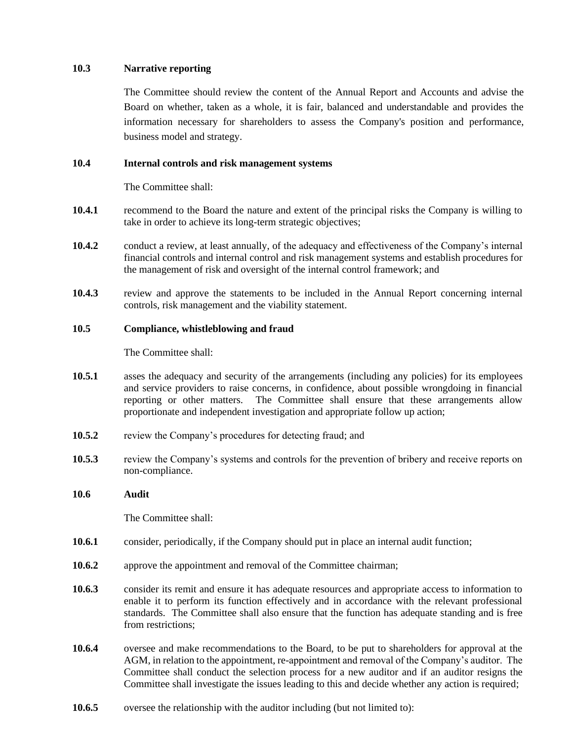#### **10.3 Narrative reporting**

The Committee should review the content of the Annual Report and Accounts and advise the Board on whether, taken as a whole, it is fair, balanced and understandable and provides the information necessary for shareholders to assess the Company's position and performance, business model and strategy.

#### **10.4 Internal controls and risk management systems**

The Committee shall:

- **10.4.1** recommend to the Board the nature and extent of the principal risks the Company is willing to take in order to achieve its long-term strategic objectives;
- **10.4.2** conduct a review, at least annually, of the adequacy and effectiveness of the Company's internal financial controls and internal control and risk management systems and establish procedures for the management of risk and oversight of the internal control framework; and
- **10.4.3** review and approve the statements to be included in the Annual Report concerning internal controls, risk management and the viability statement.

#### **10.5 Compliance, whistleblowing and fraud**

The Committee shall:

- **10.5.1** asses the adequacy and security of the arrangements (including any policies) for its employees and service providers to raise concerns, in confidence, about possible wrongdoing in financial reporting or other matters. The Committee shall ensure that these arrangements allow proportionate and independent investigation and appropriate follow up action;
- **10.5.2** review the Company's procedures for detecting fraud; and
- **10.5.3** review the Company's systems and controls for the prevention of bribery and receive reports on non-compliance.

#### **10.6 Audit**

The Committee shall:

- **10.6.1** consider, periodically, if the Company should put in place an internal audit function;
- **10.6.2** approve the appointment and removal of the Committee chairman;
- **10.6.3** consider its remit and ensure it has adequate resources and appropriate access to information to enable it to perform its function effectively and in accordance with the relevant professional standards. The Committee shall also ensure that the function has adequate standing and is free from restrictions;
- **10.6.4** oversee and make recommendations to the Board, to be put to shareholders for approval at the AGM, in relation to the appointment, re-appointment and removal of the Company's auditor. The Committee shall conduct the selection process for a new auditor and if an auditor resigns the Committee shall investigate the issues leading to this and decide whether any action is required;
- **10.6.5** oversee the relationship with the auditor including (but not limited to):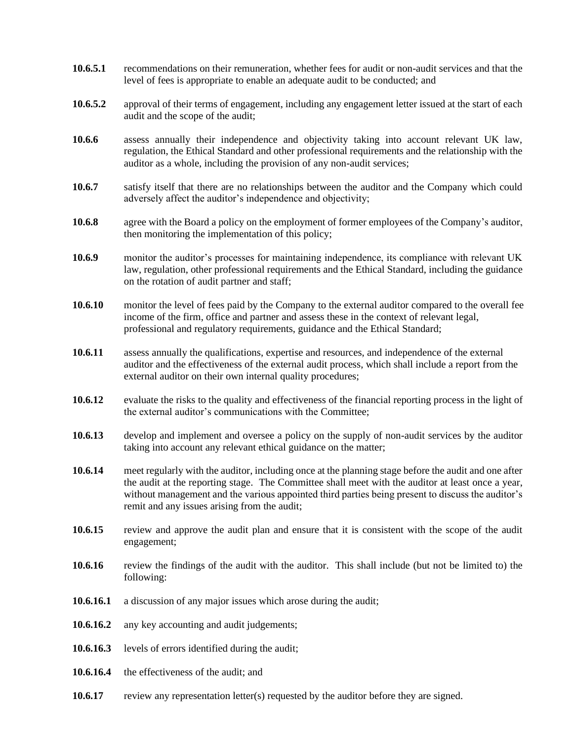- **10.6.5.1** recommendations on their remuneration, whether fees for audit or non-audit services and that the level of fees is appropriate to enable an adequate audit to be conducted; and
- **10.6.5.2** approval of their terms of engagement, including any engagement letter issued at the start of each audit and the scope of the audit;
- **10.6.6** assess annually their independence and objectivity taking into account relevant UK law, regulation, the Ethical Standard and other professional requirements and the relationship with the auditor as a whole, including the provision of any non-audit services;
- **10.6.7** satisfy itself that there are no relationships between the auditor and the Company which could adversely affect the auditor's independence and objectivity;
- **10.6.8** agree with the Board a policy on the employment of former employees of the Company's auditor, then monitoring the implementation of this policy;
- **10.6.9** monitor the auditor's processes for maintaining independence, its compliance with relevant UK law, regulation, other professional requirements and the Ethical Standard, including the guidance on the rotation of audit partner and staff;
- **10.6.10** monitor the level of fees paid by the Company to the external auditor compared to the overall fee income of the firm, office and partner and assess these in the context of relevant legal, professional and regulatory requirements, guidance and the Ethical Standard;
- **10.6.11** assess annually the qualifications, expertise and resources, and independence of the external auditor and the effectiveness of the external audit process, which shall include a report from the external auditor on their own internal quality procedures;
- **10.6.12** evaluate the risks to the quality and effectiveness of the financial reporting process in the light of the external auditor's communications with the Committee;
- **10.6.13** develop and implement and oversee a policy on the supply of non-audit services by the auditor taking into account any relevant ethical guidance on the matter;
- **10.6.14** meet regularly with the auditor, including once at the planning stage before the audit and one after the audit at the reporting stage. The Committee shall meet with the auditor at least once a year, without management and the various appointed third parties being present to discuss the auditor's remit and any issues arising from the audit;
- 10.6.15 review and approve the audit plan and ensure that it is consistent with the scope of the audit engagement;
- **10.6.16** review the findings of the audit with the auditor. This shall include (but not be limited to) the following:
- **10.6.16.1** a discussion of any major issues which arose during the audit;
- **10.6.16.2** any key accounting and audit judgements;
- **10.6.16.3** levels of errors identified during the audit;
- **10.6.16.4** the effectiveness of the audit; and
- **10.6.17** review any representation letter(s) requested by the auditor before they are signed.